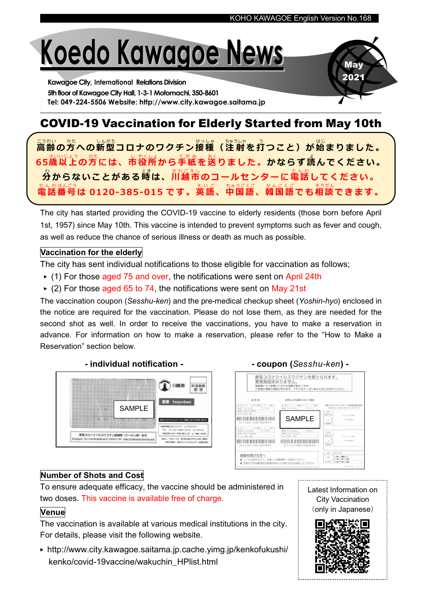**May** 2021

# Koedo Kawagoe News

Kawagoe City, International Relations Division 5th floor of Kawagoe City Hall, 1-3-1 Motomachi, 350-8601 Tel: 049-224-5506 Website: http://www.city.kawagoe.saitama.jp

## COVID-19 Vaccination for Elderly Started from May 10th

<u>る恐</u><br>高齢の方への新型コロナのワクチン接種(注射を打つこと)が始まりました。 65歳以上の方には、市役所から手紙を送りました。かならず読んでください。 ゟ゚ゕらないことがある嵵は、灬<u>。。。</u><br>分からないことがある嵵は、川越市のコールセンターに電話してください。 でんゎぱんごう<br>電話番号は 0120-385-015 です。英語、中国語、韓国語でも相談できます。

The city has started providing the COVID-19 vaccine to elderly residents (those born before April 1st, 1957) since May 10th. This vaccine is intended to prevent symptoms such as fever and cough, as well as reduce the chance of serious illness or death as much as possible.

#### Vaccination for the elderly

The city has sent individual notifications to those eligible for vaccination as follows;

- ▶ (1) For those aged 75 and over, the notifications were sent on April 24th
- $\triangleright$  (2) For those aged 65 to 74, the notifications were sent on May 21st

The vaccination coupon (Sesshu-ken) and the pre-medical checkup sheet (Yoshin-hyo) enclosed in the notice are required for the vaccination. Please do not lose them, as they are needed for the second shot as well. In order to receive the vaccinations, you have to make a reservation in advance. For information on how to make a reservation, please refer to the "How to Make a Reservation" section below.





#### Number of Shots and Cost

To ensure adequate efficacy, the vaccine should be administered in two doses. This vaccine is available free of charge.

#### **Venue**

The vaccination is available at various medical institutions in the city. For details, please visit the following website.

- ▶ http://www.city.kawagoe.saitama.jp.cache.yimg.jp/kenkofukushi/ kenko/covid-19vaccine/wakuchin\_HPlist.html
- Latest Information on City Vaccination (only in Japanese)